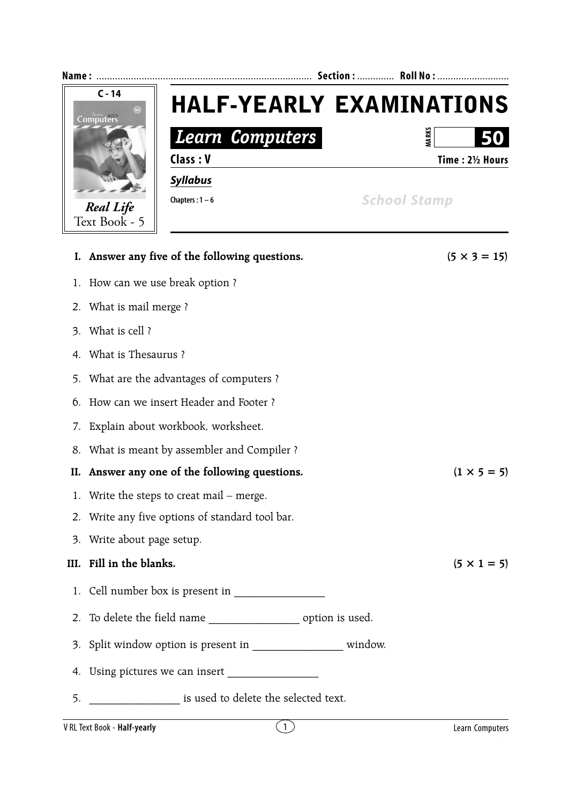

- 1. How can we use break option ?
- 2. What is mail merge ?
- 3. What is cell ?
- 4. What is Thesaurus ?
- 5. What are the advantages of computers ?
- 6. How can we insert Header and Footer ?
- 7. Explain about workbook, worksheet.
- 8. What is meant by assembler and Compiler ?
- **II.** Answer any one of the following questions.  $(1 \times 5 = 5)$
- 1. Write the steps to creat mail merge.
- 2. Write any five options of standard tool bar.
- 3. Write about page setup.

## **III.** Fill in the blanks.  $(5 \times 1 = 5)$

- 1. Cell number box is present in \_\_\_\_\_\_\_\_\_\_\_\_\_\_\_\_
- 2. To delete the field name \_\_\_\_\_\_\_\_\_\_\_\_\_\_\_\_\_\_\_\_\_\_ option is used.
- 3. Split window option is present in \_\_\_\_\_\_\_\_\_\_\_\_\_\_\_\_ window.
- 4. Using pictures we can insert
- 5. **Example 3** is used to delete the selected text.

## V RL Text Book - **Half-yearly** 2 **Computers** 2 **Computers** 2 **Learn Computers**